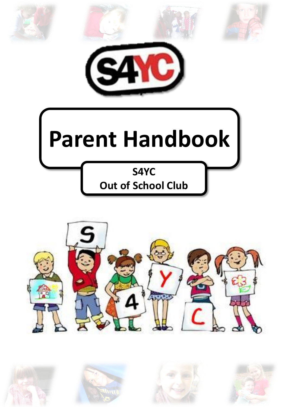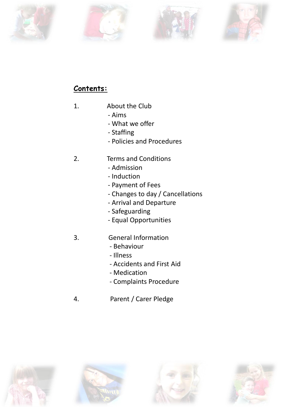







# **Contents:**

- 1. About the Club
	- Aims
	- What we offer
	- Staffing
	- Policies and Procedures
- 2. Terms and Conditions
	- Admission
	- Induction
	- Payment of Fees
	- Changes to day / Cancellations
	- Arrival and Departure
	- Safeguarding
	- Equal Opportunities
- 3. General Information
	- Behaviour
	- Illness
	- Accidents and First Aid
	- Medication
	- Complaints Procedure
- 4. Parent / Carer Pledge







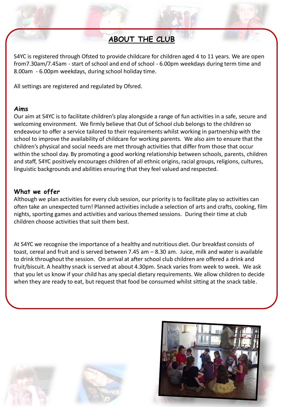# **ABOUT THE CLUB**

S4YC is registered through Ofsted to provide childcare for children aged 4 to 11 years. We are open from7.30am/7.45am - start of school and end of school - 6.00pm weekdays during term time and 8.00am - 6.00pm weekdays, during school holiday time.

All settings are registered and regulated by Ofsred.

## **Aims**

Our aim at S4YC is to facilitate children's play alongside a range of fun activities in a safe, secure and welcoming environment. We firmly believe that Out of School club belongs to the children so endeavour to offer a service tailored to their requirements whilst working in partnership with the school to improve the availability of childcare for working parents. We also aim to ensure that the children's physical and social needs are met through activities that differ from those that occur within the school day. By promoting a good working relationship between schools, parents, children and staff, S4YC positively encourages children of all ethnic origins, racial groups, religions, cultures, linguistic backgrounds and abilities ensuring that they feel valued and respected.

## **What we offer**

Although we plan activities for every club session, our priority is to facilitate play so activities can often take an unexpected turn! Planned activities include a selection of arts and crafts, cooking, film nights, sporting games and activities and various themed sessions. During their time at club children choose activities that suit them best.

At S4YC we recognise the importance of a healthy and nutritious diet. Our breakfast consists of toast, cereal and fruit and is served between 7.45 am – 8.30 am. Juice, milk and water is available to drink throughout the session. On arrival at after school club children are offered a drink and fruit/biscuit. A healthy snack is served at about 4.30pm. Snack varies from week to week. We ask that you let us know if your child has any special dietary requirements. We allow children to decide when they are ready to eat, but request that food be consumed whilst sitting at the snack table.





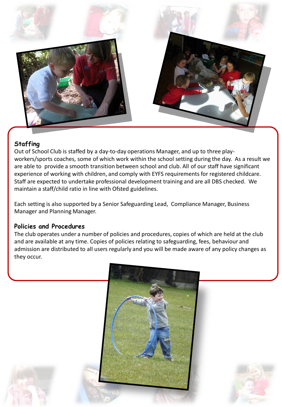

# **Staffing**

Out of School Club is staffed by a day-to-day operations Manager, and up to three playworkers/sports coaches, some of which work within the school setting during the day. As a result we are able to provide a smooth transition between school and club. All of our staff have significant experience of working with children, and comply with EYFS requirements for registered childcare. Staff are expected to undertake professional development training and are all DBS checked. We maintain a staff/child ratio in line with Ofsted guidelines.

Each setting is also supported by a Senior Safeguarding Lead, Compliance Manager, Business Manager and Planning Manager.

## **Policies and Procedures**

The club operates under a number of policies and procedures, copies of which are held at the club and are available at any time. Copies of policies relating to safeguarding, fees, behaviour and admission are distributed to all users regularly and you will be made aware of any policy changes as they occur.



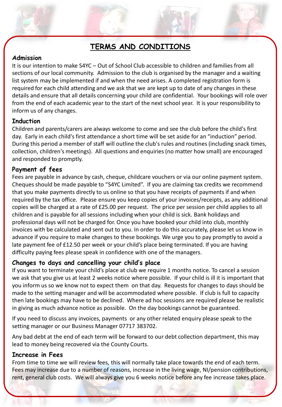# **TERMS AND CONDITIONS**

## **Admission**

It is our intention to make S4YC – Out of School Club accessible to children and families from all sections of our local community. Admission to the club is organised by the manager and a waiting list system may be implemented if and when the need arises. A completed registration form is required for each child attending and we ask that we are kept up to date of any changes in these details and ensure that all details concerning your child are confidential. Your bookings will role over from the end of each academic year to the start of the next school year. It is your responsibility to inform us of any changes.

## **Induction**

Children and parents/carers are always welcome to come and see the club before the child's first day. Early in each child's first attendance a short time will be set aside for an "induction" period. During this period a member of staff will outline the club's rules and routines (including snack times, collection, children's meetings). All questions and enquiries (no matter how small) are encouraged and responded to promptly.

## **Payment of fees**

Fees are payable in advance by cash, cheque, childcare vouchers or via our online payment system. Cheques should be made payable to "S4YC Limited". If you are claiming tax credits we recommend that you make payments directly to us online so that you have receipts of payments if and when required by the tax office. Please ensure you keep copies of your invoices/receipts, as any additional copies will be charged at a rate of £25.00 per request. The price per session per child applies to all children and is payable for all sessions including when your child is sick. Bank holidays and professional days will not be charged for. Once you have booked your child into club, monthly invoices with be calculated and sent out to you. In order to do this accurately, please let us know in advance if you require to make changes to these bookings. We urge you to pay promptly to avoid a late payment fee of £12.50 per week or your child's place being terminated. If you are having difficulty paying fees please speak in confidence with one of the managers.

## **Changes to days and cancelling your child's place**

If you want to terminate your child's place at club we require 1 months notice. To cancel a session we ask that you give us at least 2 weeks notice where possible. If your child is ill it is important that you inform us so we know not to expect them on that day. Requests for changes to days should be made to the setting manager and will be accommodated where possible. If club is full to capacity then late bookings may have to be declined. Where ad hoc sessions are required please be realistic in giving as much advance notice as possible. On the day bookings cannot be guaranteed.

If you need to discuss any invoices, payments or any other related enquiry please speak to the setting manager or our Business Manager 07717 383702.

Any bad debt at the end of each term will be forward to our debt collection department, this may lead to money being recovered via the County Courts.

## **Increase in Fees**

From time to time we will review fees, this will normally take place towards the end of each term. Fees may increase due to a number of reasons, increase in the living wage, NI/pension contributions, rent, general club costs. We will always give you 6 weeks notice before any fee increase takes place.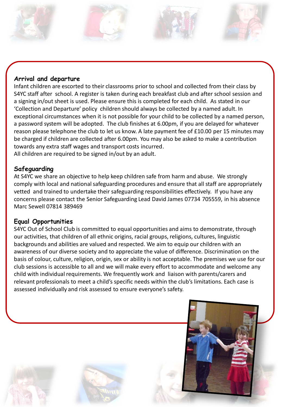## **Arrival and departure**

Infant children are escorted to their classrooms prior to school and collected from their class by S4YC staff after school. A register is taken during each breakfast club and after school session and a signing in/out sheet is used. Please ensure this is completed for each child. As stated in our 'Collection and Departure' policy children should always be collected by a named adult. In exceptional circumstances when it is not possible for your child to be collected by a named person, a password system will be adopted. The club finishes at 6.00pm, if you are delayed for whatever reason please telephone the club to let us know. A late payment fee of £10.00 per 15 minutes may be charged if children are collected after 6.00pm. You may also be asked to make a contribution towards any extra staff wages and transport costs incurred. All children are required to be signed in/out by an adult.

## **Safeguarding**

At S4YC we share an objective to help keep children safe from harm and abuse. We strongly comply with local and national safeguarding procedures and ensure that all staff are appropriately vetted and trained to undertake their safeguarding responsibilities effectively. If you have any concerns please contact the Senior Safeguarding Lead David James 07734 705559, in his absence Marc Sewell 07814 389469

## **Equal Opportunities**

S4YC Out of School Club is committed to equal opportunities and aims to demonstrate, through our activities, that children of all ethnic origins, racial groups, religions, cultures, linguistic backgrounds and abilities are valued and respected. We aim to equip our children with an awareness of our diverse society and to appreciate the value of difference. Discrimination on the basis of colour, culture, religion, origin, sex or ability is not acceptable. The premises we use for our club sessions is accessible to all and we will make every effort to accommodate and welcome any child with individual requirements. We frequently work and liaison with parents/carers and relevant professionals to meet a child's specific needs within the club's limitations. Each case is assessed individually and risk assessed to ensure everyone's safety.

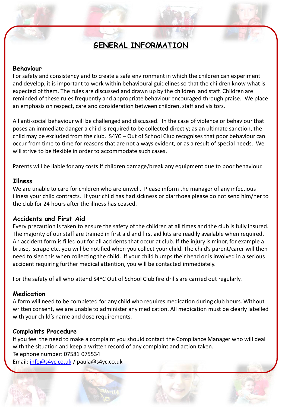# **GENERAL INFORMATION**

#### **Behaviour**

For safety and consistency and to create a safe environment in which the children can experiment and develop, it is important to work within behavioural guidelines so that the children know what is expected of them. The rules are discussed and drawn up by the children and staff. Children are reminded of these rules frequently and appropriate behaviour encouraged through praise. We place an emphasis on respect, care and consideration between children, staff and visitors.

All anti-social behaviour will be challenged and discussed. In the case of violence or behaviour that poses an immediate danger a child is required to be collected directly; as an ultimate sanction, the child may be excluded from the club. S4YC – Out of School Club recognises that poor behaviour can occur from time to time for reasons that are not always evident, or as a result of special needs. We will strive to be flexible in order to accommodate such cases.

Parents will be liable for any costs if children damage/break any equipment due to poor behaviour.

#### **Illness**

We are unable to care for children who are unwell. Please inform the manager of any infectious illness your child contracts. If your child has had sickness or diarrhoea please do not send him/her to the club for 24 hours after the illness has ceased.

### **Accidents and First Aid**

Every precaution is taken to ensure the safety of the children at all times and the club is fully insured. The majority of our staff are trained in first aid and first aid kits are readily available when required. An accident form is filled out for all accidents that occur at club. If the injury is minor, for example a bruise, scrape etc. you will be notified when you collect your child. The child's parent/carer will then need to sign this when collecting the child. If your child bumps their head or is involved in a serious accident requiring further medical attention, you will be contacted immediately.

For the safety of all who attend S4YC Out of School Club fire drills are carried out regularly.

### **Medication**

A form will need to be completed for any child who requires medication during club hours. Without written consent, we are unable to administer any medication. All medication must be clearly labelled with your child's name and dose requirements.

### **Complaints Procedure**

If you feel the need to make a complaint you should contact the Compliance Manager who will deal with the situation and keep a written record of any complaint and action taken. Telephone number: 07581 075534 Email: [info@s4yc.co.uk](mailto:info@s4yc.co.uk) / paula@s4yc.co.uk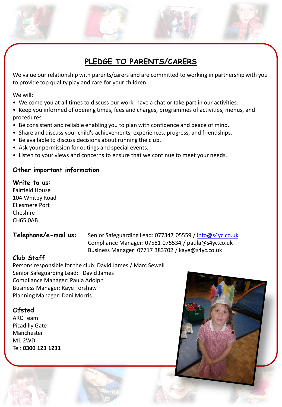# **PLEDGE TO PARENTS/CARERS**

We value our relationship with parents/carers and are committed to working in partnership with you to provide top quality play and care for your children.

We will:

- Welcome you at all times to discuss our work, have a chat or take part in our activities.
- Keep you informed of opening times, fees and charges, programmes of activities, menus, and procedures.
- Be consistent and reliable enabling you to plan with confidence and peace of mind.
- Share and discuss your child's achievements, experiences, progress, and friendships.
- Be available to discuss decisions about running the club.
- Ask your permission for outings and special events.
- Listen to your views and concerns to ensure that we continue to meet your needs.

## **Other important information**

#### **Write to us:**

Fairfield House 104 Whitby Road Ellesmere Port Cheshire CH65 0AB

Telephone/e-mail us: Senior Safeguarding Lead: 077347 05559 / [info@s4yc.co.uk](mailto:info@s4yc.co.uk) Compliance Manager: 07581 075534 / paula@s4yc.co.uk Business Manager: 07717 383702 / kaye@s4yc.co.uk

## **Club Staff**

Persons responsible for the club: David James / Marc Sewell Senior Safeguarding Lead: David James Compliance Manager: Paula Adolph Business Manager: Kaye Forshaw Planning Manager: Dani Morris

## **Ofsted**

ARC Team Picadilly Gate Manchester M1 2WD Tel: **0300 123 1231**